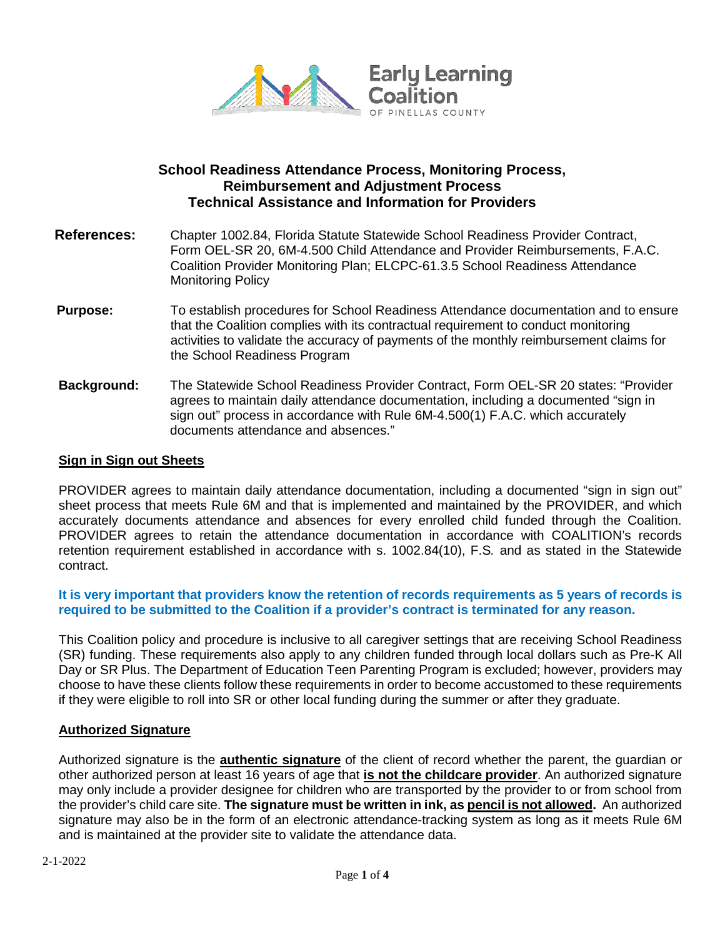

# **School Readiness Attendance Process, Monitoring Process, Reimbursement and Adjustment Process Technical Assistance and Information for Providers**

- **References:** Chapter 1002.84, Florida Statute Statewide School Readiness Provider Contract, Form OEL-SR 20, 6M-4.500 Child Attendance and Provider Reimbursements, F.A.C. Coalition Provider Monitoring Plan; ELCPC-61.3.5 School Readiness Attendance Monitoring Policy
- **Purpose:** To establish procedures for School Readiness Attendance documentation and to ensure that the Coalition complies with its contractual requirement to conduct monitoring activities to validate the accuracy of payments of the monthly reimbursement claims for the School Readiness Program
- **Background:** The Statewide School Readiness Provider Contract, Form OEL-SR 20 states: "Provider agrees to maintain daily attendance documentation, including a documented "sign in sign out" process in accordance with Rule 6M-4.500(1) F.A.C. which accurately documents attendance and absences."

### **Sign in Sign out Sheets**

PROVIDER agrees to maintain daily attendance documentation, including a documented "sign in sign out" sheet process that meets Rule 6M and that is implemented and maintained by the PROVIDER, and which accurately documents attendance and absences for every enrolled child funded through the Coalition. PROVIDER agrees to retain the attendance documentation in accordance with COALITION's records retention requirement established in accordance with s. 1002.84(10), F.S*.* and as stated in the Statewide contract.

### **It is very important that providers know the retention of records requirements as 5 years of records is required to be submitted to the Coalition if a provider's contract is terminated for any reason.**

This Coalition policy and procedure is inclusive to all caregiver settings that are receiving School Readiness (SR) funding. These requirements also apply to any children funded through local dollars such as Pre-K All Day or SR Plus. The Department of Education Teen Parenting Program is excluded; however, providers may choose to have these clients follow these requirements in order to become accustomed to these requirements if they were eligible to roll into SR or other local funding during the summer or after they graduate.

#### **Authorized Signature**

Authorized signature is the **authentic signature** of the client of record whether the parent, the guardian or other authorized person at least 16 years of age that **is not the childcare provider**. An authorized signature may only include a provider designee for children who are transported by the provider to or from school from the provider's child care site. **The signature must be written in ink, as pencil is not allowed.** An authorized signature may also be in the form of an electronic attendance-tracking system as long as it meets Rule 6M and is maintained at the provider site to validate the attendance data.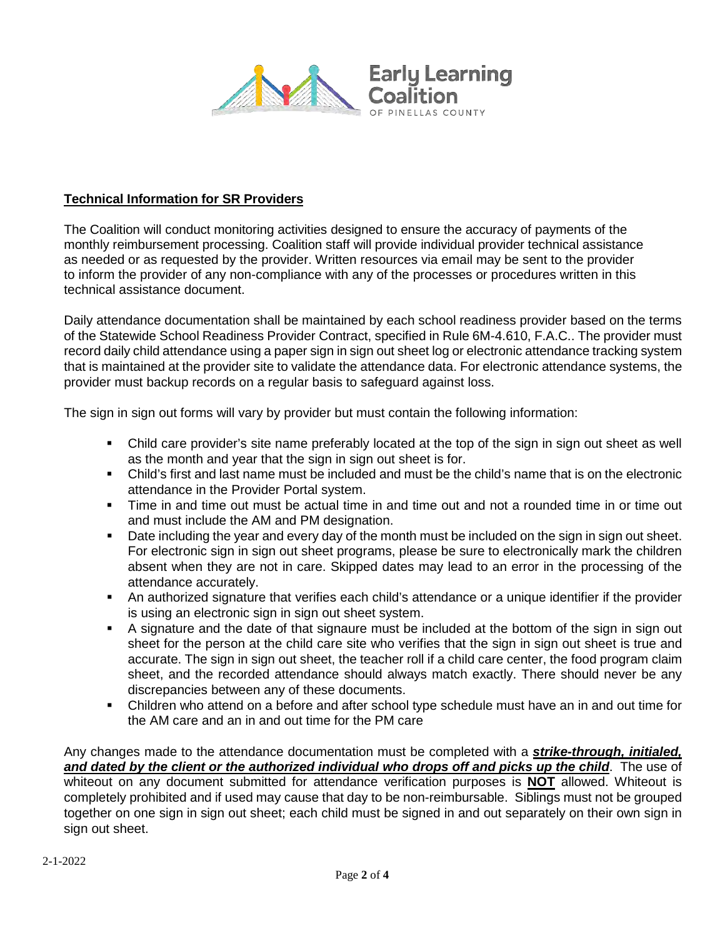

## **Technical Information for SR Providers**

The Coalition will conduct monitoring activities designed to ensure the accuracy of payments of the monthly reimbursement processing. Coalition staff will provide individual provider technical assistance as needed or as requested by the provider. Written resources via email may be sent to the provider to inform the provider of any non-compliance with any of the processes or procedures written in this technical assistance document.

Daily attendance documentation shall be maintained by each school readiness provider based on the terms of the Statewide School Readiness Provider Contract, specified in Rule 6M-4.610, F.A.C.. The provider must record daily child attendance using a paper sign in sign out sheet log or electronic attendance tracking system that is maintained at the provider site to validate the attendance data. For electronic attendance systems, the provider must backup records on a regular basis to safeguard against loss.

The sign in sign out forms will vary by provider but must contain the following information:

- Child care provider's site name preferably located at the top of the sign in sign out sheet as well as the month and year that the sign in sign out sheet is for.
- Child's first and last name must be included and must be the child's name that is on the electronic attendance in the Provider Portal system.
- Time in and time out must be actual time in and time out and not a rounded time in or time out and must include the AM and PM designation.
- Date including the year and every day of the month must be included on the sign in sign out sheet. For electronic sign in sign out sheet programs, please be sure to electronically mark the children absent when they are not in care. Skipped dates may lead to an error in the processing of the attendance accurately.
- An authorized signature that verifies each child's attendance or a unique identifier if the provider is using an electronic sign in sign out sheet system.
- A signature and the date of that signaure must be included at the bottom of the sign in sign out sheet for the person at the child care site who verifies that the sign in sign out sheet is true and accurate. The sign in sign out sheet, the teacher roll if a child care center, the food program claim sheet, and the recorded attendance should always match exactly. There should never be any discrepancies between any of these documents.
- Children who attend on a before and after school type schedule must have an in and out time for the AM care and an in and out time for the PM care

Any changes made to the attendance documentation must be completed with a *strike-through, initialed, and dated by the client or the authorized individual who drops off and picks up the child*. The use of whiteout on any document submitted for attendance verification purposes is **NOT** allowed. Whiteout is completely prohibited and if used may cause that day to be non-reimbursable. Siblings must not be grouped together on one sign in sign out sheet; each child must be signed in and out separately on their own sign in sign out sheet.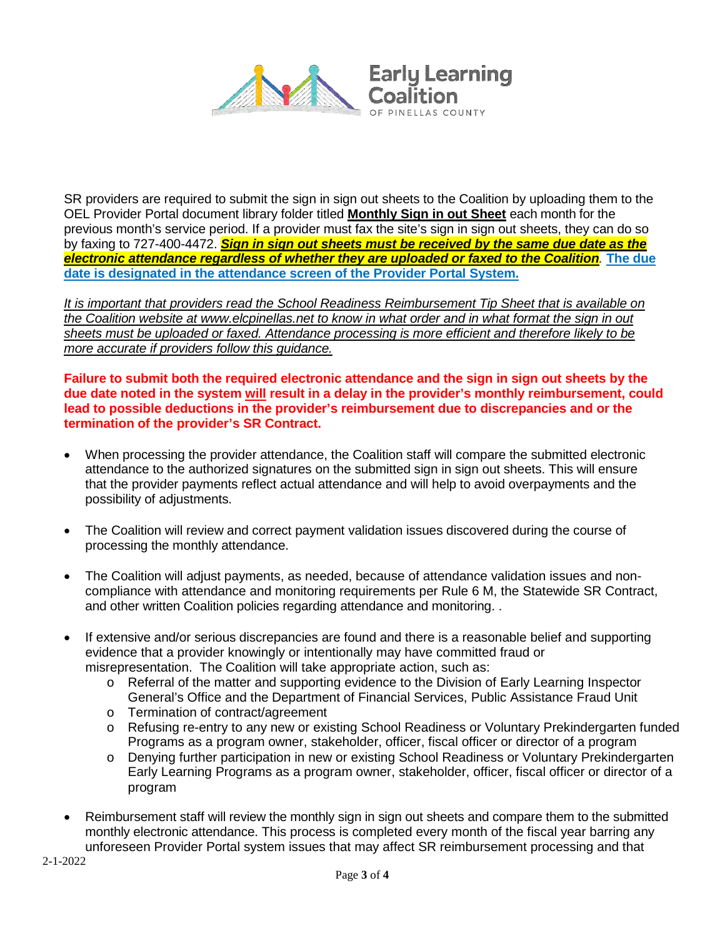

SR providers are required to submit the sign in sign out sheets to the Coalition by uploading them to the OEL Provider Portal document library folder titled **Monthly Sign in out Sheet** each month for the previous month's service period. If a provider must fax the site's sign in sign out sheets, they can do so by faxing to 727-400-4472. *Sign in sign out sheets must be received by the same due date as the electronic attendance regardless of whether they are uploaded or faxed to the Coalition.* **The due date is designated in the attendance screen of the Provider Portal System.** 

*It is important that providers read the School Readiness Reimbursement Tip Sheet that is available on the Coalition website at [www.elcpinellas.net](http://www.elcpinellas.net/) to know in what order and in what format the sign in out sheets must be uploaded or faxed. Attendance processing is more efficient and therefore likely to be more accurate if providers follow this guidance.* 

**Failure to submit both the required electronic attendance and the sign in sign out sheets by the due date noted in the system will result in a delay in the provider's monthly reimbursement, could lead to possible deductions in the provider's reimbursement due to discrepancies and or the termination of the provider's SR Contract.** 

- When processing the provider attendance, the Coalition staff will compare the submitted electronic attendance to the authorized signatures on the submitted sign in sign out sheets. This will ensure that the provider payments reflect actual attendance and will help to avoid overpayments and the possibility of adjustments.
- The Coalition will review and correct payment validation issues discovered during the course of processing the monthly attendance.
- The Coalition will adjust payments, as needed, because of attendance validation issues and noncompliance with attendance and monitoring requirements per Rule 6 M, the Statewide SR Contract, and other written Coalition policies regarding attendance and monitoring. .
- If extensive and/or serious discrepancies are found and there is a reasonable belief and supporting evidence that a provider knowingly or intentionally may have committed fraud or misrepresentation. The Coalition will take appropriate action, such as:
	- o Referral of the matter and supporting evidence to the Division of Early Learning Inspector General's Office and the Department of Financial Services, Public Assistance Fraud Unit
	- o Termination of contract/agreement
	- o Refusing re-entry to any new or existing School Readiness or Voluntary Prekindergarten funded Programs as a program owner, stakeholder, officer, fiscal officer or director of a program
	- o Denying further participation in new or existing School Readiness or Voluntary Prekindergarten Early Learning Programs as a program owner, stakeholder, officer, fiscal officer or director of a program
- Reimbursement staff will review the monthly sign in sign out sheets and compare them to the submitted monthly electronic attendance. This process is completed every month of the fiscal year barring any unforeseen Provider Portal system issues that may affect SR reimbursement processing and that